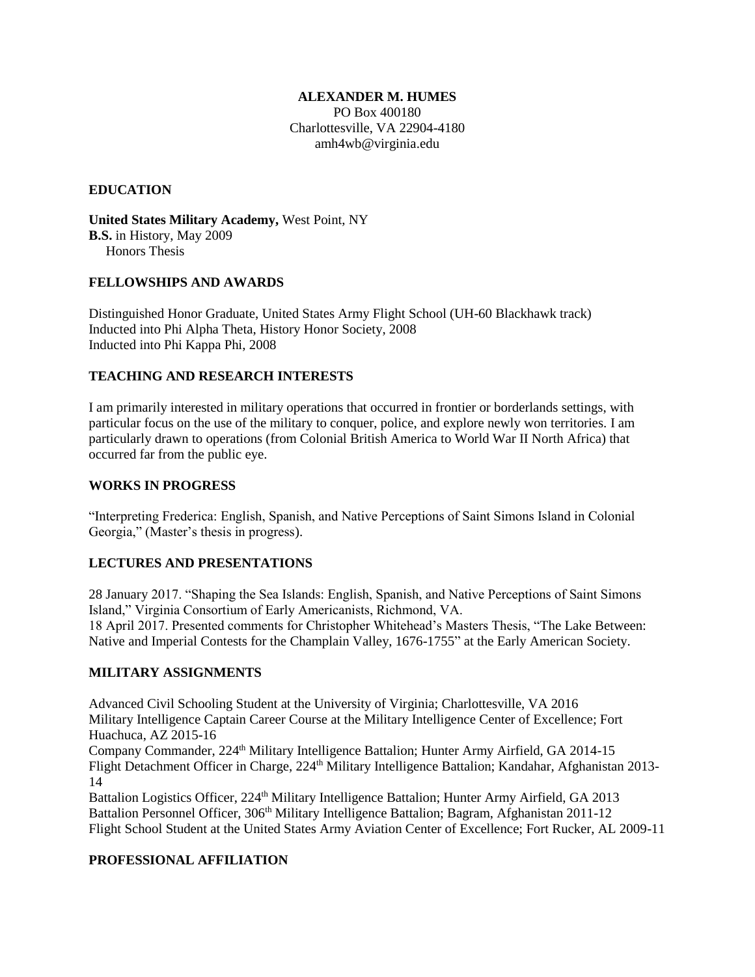#### **ALEXANDER M. HUMES**

PO Box 400180 Charlottesville, VA 22904-4180 amh4wb@virginia.edu

### **EDUCATION**

**United States Military Academy,** West Point, NY **B.S.** in History, May 2009 Honors Thesis

#### **FELLOWSHIPS AND AWARDS**

Distinguished Honor Graduate, United States Army Flight School (UH-60 Blackhawk track) Inducted into Phi Alpha Theta, History Honor Society, 2008 Inducted into Phi Kappa Phi, 2008

## **TEACHING AND RESEARCH INTERESTS**

I am primarily interested in military operations that occurred in frontier or borderlands settings, with particular focus on the use of the military to conquer, police, and explore newly won territories. I am particularly drawn to operations (from Colonial British America to World War II North Africa) that occurred far from the public eye.

#### **WORKS IN PROGRESS**

"Interpreting Frederica: English, Spanish, and Native Perceptions of Saint Simons Island in Colonial Georgia," (Master's thesis in progress).

# **LECTURES AND PRESENTATIONS**

28 January 2017. "Shaping the Sea Islands: English, Spanish, and Native Perceptions of Saint Simons Island," Virginia Consortium of Early Americanists, Richmond, VA. 18 April 2017. Presented comments for Christopher Whitehead's Masters Thesis, "The Lake Between: Native and Imperial Contests for the Champlain Valley, 1676-1755" at the Early American Society.

#### **MILITARY ASSIGNMENTS**

Advanced Civil Schooling Student at the University of Virginia; Charlottesville, VA 2016 Military Intelligence Captain Career Course at the Military Intelligence Center of Excellence; Fort Huachuca, AZ 2015-16

Company Commander, 224<sup>th</sup> Military Intelligence Battalion; Hunter Army Airfield, GA 2014-15 Flight Detachment Officer in Charge, 224<sup>th</sup> Military Intelligence Battalion; Kandahar, Afghanistan 2013-14

Battalion Logistics Officer, 224<sup>th</sup> Military Intelligence Battalion; Hunter Army Airfield, GA 2013 Battalion Personnel Officer, 306<sup>th</sup> Military Intelligence Battalion; Bagram, Afghanistan 2011-12 Flight School Student at the United States Army Aviation Center of Excellence; Fort Rucker, AL 2009-11

#### **PROFESSIONAL AFFILIATION**